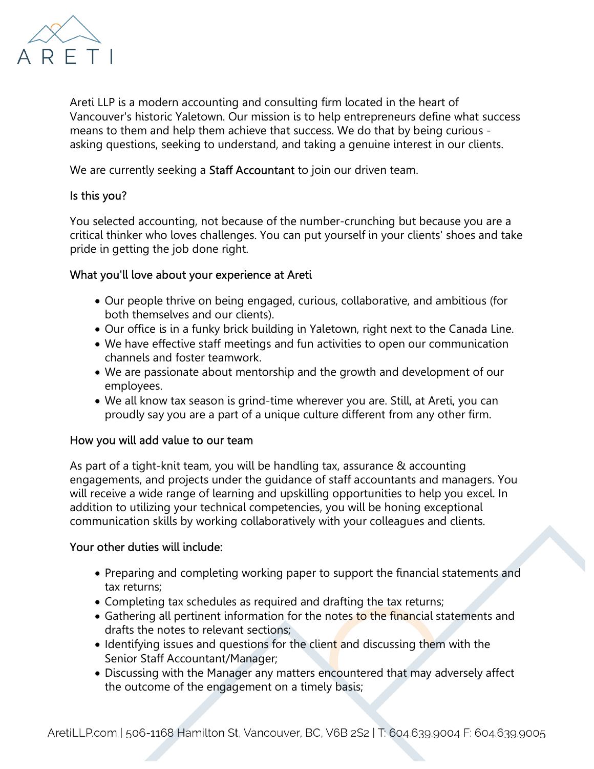

Areti LLP is a modern accounting and consulting firm located in the heart of Vancouver's historic Yaletown. Our mission is to help entrepreneurs define what success means to them and help them achieve that success. We do that by being curious asking questions, seeking to understand, and taking a genuine interest in our clients.

We are currently seeking a **Staff Accountant** to join our driven team.

## Is this you?

You selected accounting, not because of the number-crunching but because you are a critical thinker who loves challenges. You can put yourself in your clients' shoes and take pride in getting the job done right.

## What you'll love about your experience at Areti

- Our people thrive on being engaged, curious, collaborative, and ambitious (for both themselves and our clients).
- Our office is in a funky brick building in Yaletown, right next to the Canada Line.
- We have effective staff meetings and fun activities to open our communication channels and foster teamwork.
- We are passionate about mentorship and the growth and development of our employees.
- We all know tax season is grind-time wherever you are. Still, at Areti, you can proudly say you are a part of a unique culture different from any other firm.

## How you will add value to our team

As part of a tight-knit team, you will be handling tax, assurance & accounting engagements, and projects under the guidance of staff accountants and managers. You will receive a wide range of learning and upskilling opportunities to help you excel. In addition to utilizing your technical competencies, you will be honing exceptional communication skills by working collaboratively with your colleagues and clients.

## Your other duties will include:

- Preparing and completing working paper to support the financial statements and tax returns;
- Completing tax schedules as required and drafting the tax returns;
- Gathering all pertinent information for the notes to the financial statements and drafts the notes to relevant sections;
- Identifying issues and questions for the client and discussing them with the Senior Staff Accountant/Manager;
- Discussing with the Manager any matters encountered that may adversely affect the outcome of the engagement on a timely basis;